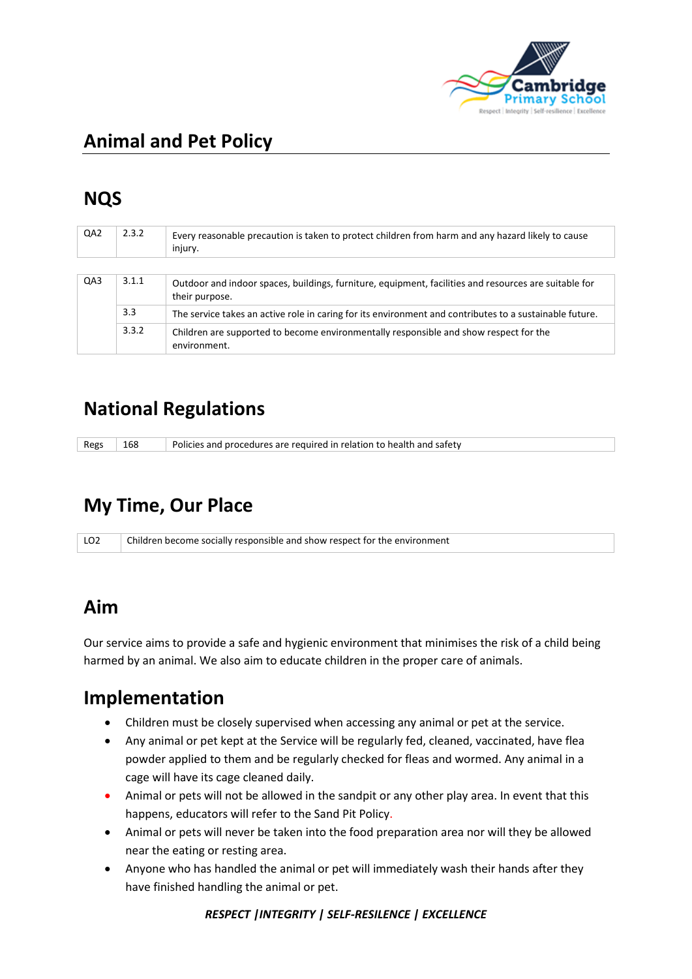

# **NQS**

| QA2 | 2.3.2 | Every reasonable precaution is taken to protect children from harm and any hazard likely to cause<br>injury.            |  |  |
|-----|-------|-------------------------------------------------------------------------------------------------------------------------|--|--|
|     |       |                                                                                                                         |  |  |
| QA3 | 3.1.1 | Outdoor and indoor spaces, buildings, furniture, equipment, facilities and resources are suitable for<br>their purpose. |  |  |
|     | 3.3   | The service takes an active role in caring for its environment and contributes to a sustainable future.                 |  |  |
|     | 3.3.2 | Children are supported to become environmentally responsible and show respect for the<br>environment.                   |  |  |

## **National Regulations**

Regs 168 Policies and procedures are required in relation to health and safety

#### **My Time, Our Place**

LO2 Children become socially responsible and show respect for the environment

#### **Aim**

Our service aims to provide a safe and hygienic environment that minimises the risk of a child being harmed by an animal. We also aim to educate children in the proper care of animals.

#### **Implementation**

- Children must be closely supervised when accessing any animal or pet at the service.
- Any animal or pet kept at the Service will be regularly fed, cleaned, vaccinated, have flea powder applied to them and be regularly checked for fleas and wormed. Any animal in a cage will have its cage cleaned daily.
- Animal or pets will not be allowed in the sandpit or any other play area. In event that this happens, educators will refer to the Sand Pit Policy.
- Animal or pets will never be taken into the food preparation area nor will they be allowed near the eating or resting area.
- Anyone who has handled the animal or pet will immediately wash their hands after they have finished handling the animal or pet.

*RESPECT |INTEGRITY | SELF-RESILENCE | EXCELLENCE*